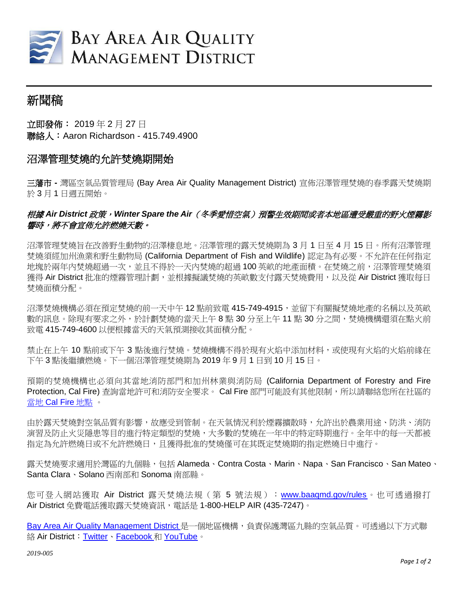

## 新聞稿

立即發佈: 2019 年 2 月 27 日 聯絡人:Aaron Richardson - 415.749.4900

## 沼澤管理焚燒的允許焚燒期開始

三藩市 **-** 灣區空氣品質管理局 (Bay Area Air Quality Management District) 宣佈沼澤管理焚燒的春季露天焚燒期 於 3 月 1 日週五開始。

## 根據 *Air District* 政策,*Winter Spare the Air*(冬季愛惜空氣)預警生效期間或者本地區遭受嚴重的野火煙霧影 *響時,將不會官佈允許燃燒天數。*

沼澤管理焚燒旨在改善野生動物的沼澤棲息地。沼澤管理的露天焚燒期為 3 月 1 日至 4 月 15 日。所有沼澤管理 焚燒須經加州漁業和野生動物局 (California Department of Fish and Wildlife) 認定為有必要。不允許在任何指定 地塊於兩年內焚燒超過一次,並且不得於一天內焚燒的超過100 英畝的地產面積。在焚燒之前,沼澤管理焚燒須 獲得 Air District 批准的煙霧管理計劃,並根據擬議焚燒的英畝數支付露天焚燒費用,以及從 Air District 獲取每日 焚燒面積分配。

沼澤焚燒機構必須在預定焚燒的前一天中午 12 點前致電 415-749-4915,並留下有關擬焚燒地產的名稱以及英畝 數的訊息。除現有要求之外,於計劃焚燒的當天上午 8 點 30 分至上午 11 點 30 分之間,焚燒機構還須在點火前 致電 415-749-4600 以便根據當天的天氣預測接收其面積分配。

禁止在上午 10 點前或下午 3 點後進行焚燒。焚燒機構不得於現有火焰中添加材料,或使現有火焰的火焰前緣在 下午 3 點後繼續燃燒。下一個沼澤管理焚燒期為 2019 年 9 月 1 日到 10 月 15 日。

預期的焚燒機構也必須向其當地消防部門和加州林業與消防局 (California Department of Forestry and Fire Protection, Cal Fire) 查詢當地許可和消防安全要求。 Cal Fire 部門可能設有其他限制, 所以請聯絡您所在社區的 當地 [Cal Fire](http://calfire.ca.gov/contacts/) 地點 。

由於露天焚燒對空氣品質有影響,故應受到管制。在天氣情況利於煙霧擴散時,允許出於農業用途、防洪、消防 演習及防止火災隱患等目的進行特定類型的焚燒,大多數的焚燒在一年中的特定時期進行。全年中的每一天都被 指定為允許燃燒日或不允許燃燒日,且獲得批准的焚燒僅可在其既定焚燒期的指定燃燒日中進行。

露天焚燒要求滴用於灣區的九個縣,包括 Alameda、Contra Costa、Marin、Napa、San Francisco、San Mateo、 Santa Clara、Solano 西南部和 Sonoma 南部縣。

您可登入網站獲取 Air District 露天焚燒法規(第 5 號法規):[www.baaqmd.gov/rules](http://www.baaqmd.gov/rules)。也可透過撥打 Air District 免費電話獲取露天焚燒資訊,電話是 1-800-HELP AIR (435-7247)。

[Bay Area Air Quality Management District](http://www.baaqmd.gov/) 是一個地區機構,負責保護灣區九縣的空氣品質。可透過以下方式聯 絡 Air District:[Twitter](https://twitter.com/airdistrict)、[Facebook](https://www.facebook.com/bayareaairdistrict/) 和 [YouTube](https://www.youtube.com/channel/UCqDZvQey_NudwMVWRBN-H6w)。